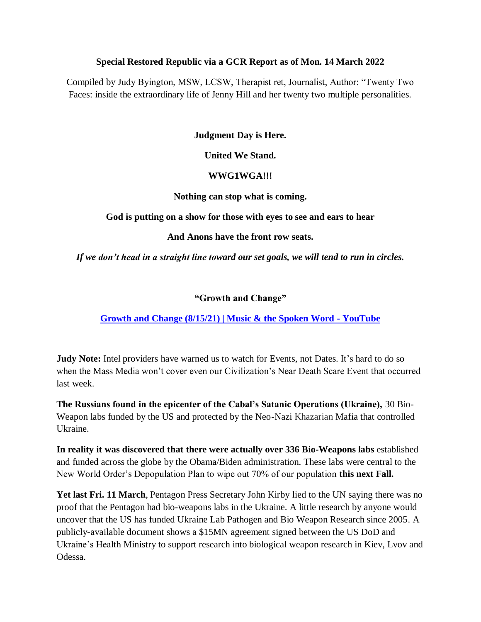#### **Special Restored Republic via a GCR Report as of Mon. 14 March 2022**

Compiled by Judy Byington, MSW, LCSW, Therapist ret, Journalist, Author: "Twenty Two Faces: inside the extraordinary life of Jenny Hill and her twenty two multiple personalities.

#### **Judgment Day is Here.**

#### **United We Stand.**

#### **WWG1WGA!!!**

#### **Nothing can stop what is coming.**

**God is putting on a show for those with eyes to see and ears to hear**

**And Anons have the front row seats.**

*If we don't head in a straight line toward our set goals, we will tend to run in circles.*

#### **"Growth and Change"**

## **[Growth and Change \(8/15/21\) | Music & the Spoken Word -](https://www.youtube.com/watch?v=UZ8pqUc9-1Q) YouTube**

**Judy Note:** Intel providers have warned us to watch for Events, not Dates. It's hard to do so when the Mass Media won't cover even our Civilization's Near Death Scare Event that occurred last week.

**The Russians found in the epicenter of the Cabal"s Satanic Operations (Ukraine),** 30 Bio-Weapon labs funded by the US and protected by the Neo-Nazi Khazarian Mafia that controlled Ukraine.

**In reality it was discovered that there were actually over 336 Bio-Weapons labs** established and funded across the globe by the Obama/Biden administration. These labs were central to the New World Order's Depopulation Plan to wipe out 70% of our population **this next Fall.**

**Yet last Fri. 11 March**, Pentagon Press Secretary John Kirby lied to the UN saying there was no proof that the Pentagon had bio-weapons labs in the Ukraine. A little research by anyone would uncover that the US has funded Ukraine Lab Pathogen and Bio Weapon Research since 2005. A publicly-available document shows a \$15MN agreement signed between the US DoD and Ukraine's Health Ministry to support research into biological weapon research in Kiev, Lvov and Odessa.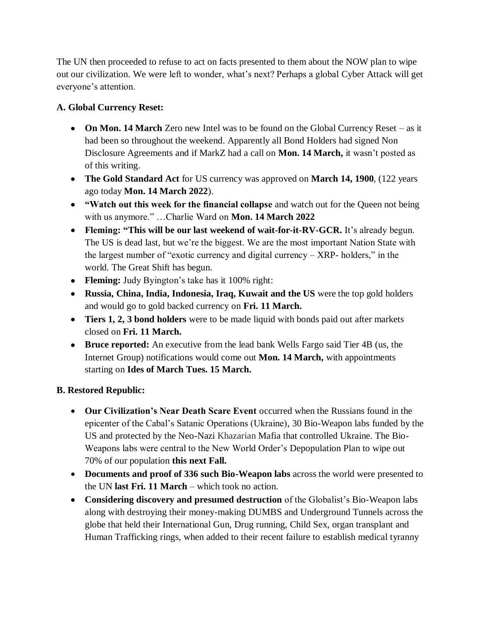The UN then proceeded to refuse to act on facts presented to them about the NOW plan to wipe out our civilization. We were left to wonder, what's next? Perhaps a global Cyber Attack will get everyone's attention.

# **A. Global Currency Reset:**

- **On Mon. 14 March** Zero new Intel was to be found on the Global Currency Reset as it had been so throughout the weekend. Apparently all Bond Holders had signed Non Disclosure Agreements and if MarkZ had a call on **Mon. 14 March,** it wasn't posted as of this writing.
- **The Gold Standard Act** for US currency was approved on **March 14, 1900**, (122 years ago today **Mon. 14 March 2022**).
- **"Watch out this week for the financial collapse** and watch out for the Queen not being with us anymore." ...Charlie Ward on **Mon. 14 March 2022**
- **Fleming: "This will be our last weekend of wait-for-it-RV-GCR.** It's already begun. The US is dead last, but we're the biggest. We are the most important Nation State with the largest number of "exotic currency and digital currency –  $XRP-$  holders," in the world. The Great Shift has begun.
- **Fleming:** Judy Byington's take has it 100% right:
- **Russia, China, India, Indonesia, Iraq, Kuwait and the US** were the top gold holders and would go to gold backed currency on **Fri. 11 March.**
- **Tiers 1, 2, 3 bond holders** were to be made liquid with bonds paid out after markets closed on **Fri. 11 March.**
- **Bruce reported:** An executive from the lead bank Wells Fargo said Tier 4B (us, the Internet Group) notifications would come out **Mon. 14 March,** with appointments starting on **Ides of March Tues. 15 March.**

## **B. Restored Republic:**

- **Our Civilization"s Near Death Scare Event** occurred when the Russians found in the epicenter of the Cabal's Satanic Operations (Ukraine), 30 Bio-Weapon labs funded by the US and protected by the Neo-Nazi Khazarian Mafia that controlled Ukraine. The Bio-Weapons labs were central to the New World Order's Depopulation Plan to wipe out 70% of our population **this next Fall.**
- **Documents and proof of 336 such Bio-Weapon labs** across the world were presented to the UN **last Fri. 11 March** – which took no action.
- **Considering discovery and presumed destruction** of the Globalist's Bio-Weapon labs along with destroying their money-making DUMBS and Underground Tunnels across the globe that held their International Gun, Drug running, Child Sex, organ transplant and Human Trafficking rings, when added to their recent failure to establish medical tyranny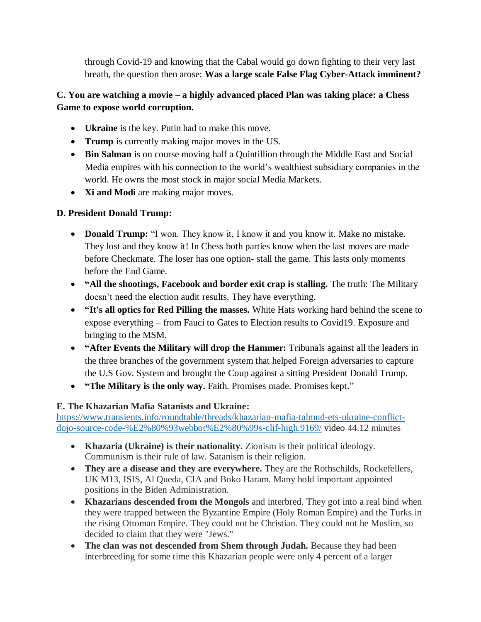through Covid-19 and knowing that the Cabal would go down fighting to their very last breath, the question then arose: **Was a large scale False Flag Cyber-Attack imminent?**

# **C. You are watching a movie – a highly advanced placed Plan was taking place: a Chess Game to expose world corruption.**

- **Ukraine** is the key. Putin had to make this move.
- **Trump** is currently making major moves in the US.
- **Bin Salman** is on course moving half a Quintillion through the Middle East and Social Media empires with his connection to the world's wealthiest subsidiary companies in the world. He owns the most stock in major social Media Markets.
- **Xi and Modi** are making major moves.

## **D. President Donald Trump:**

- **Donald Trump:** "I won. They know it, I know it and you know it. Make no mistake. They lost and they know it! In Chess both parties know when the last moves are made before Checkmate. The loser has one option- stall the game. This lasts only moments before the End Game.
- **"All the shootings, Facebook and border exit crap is stalling.** The truth: The Military doesn't need the election audit results. They have everything.
- **"It's all optics for Red Pilling the masses.** White Hats working hard behind the scene to expose everything – from Fauci to Gates to Election results to Covid19. Exposure and bringing to the MSM.
- **"After Events the Military will drop the Hammer:** Tribunals against all the leaders in the three branches of the government system that helped Foreign adversaries to capture the U.S Gov. System and brought the Coup against a sitting President Donald Trump.
- **"The Military is the only way.** Faith. Promises made. Promises kept.‖

# **E. The Khazarian Mafia Satanists and Ukraine:**

[https://www.transients.info/roundtable/threads/khazarian-mafia-talmud-ets-ukraine-conflict](https://www.transients.info/roundtable/threads/khazarian-mafia-talmud-ets-ukraine-conflict-dojo-source-code-%E2%80%93webbot%E2%80%99s-clif-high.9169/)[dojo-source-code-%E2%80%93webbot%E2%80%99s-clif-high.9169/](https://www.transients.info/roundtable/threads/khazarian-mafia-talmud-ets-ukraine-conflict-dojo-source-code-%E2%80%93webbot%E2%80%99s-clif-high.9169/) video 44.12 minutes

- **Khazaria (Ukraine) is their nationality.** Zionism is their political ideology. Communism is their rule of law. Satanism is their religion.
- **They are a disease and they are everywhere.** They are the Rothschilds, Rockefellers, UK M13, ISIS, Al Queda, CIA and Boko Haram. Many hold important appointed positions in the Biden Administration.
- **Khazarians descended from the Mongols** and interbred. They got into a real bind when they were trapped between the Byzantine Empire (Holy Roman Empire) and the Turks in the rising Ottoman Empire. They could not be Christian. They could not be Muslim, so decided to claim that they were "Jews."
- **The clan was not descended from Shem through Judah.** Because they had been interbreeding for some time this Khazarian people were only 4 percent of a larger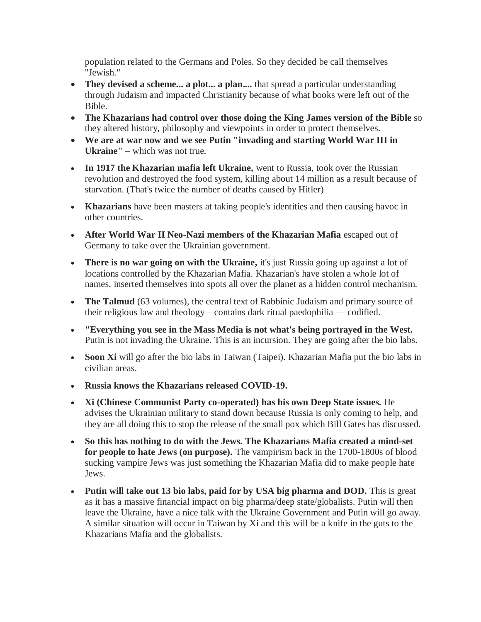population related to the Germans and Poles. So they decided be call themselves "Jewish."

- **They devised a scheme... a plot... a plan....** that spread a particular understanding through Judaism and impacted Christianity because of what books were left out of the Bible.
- **The Khazarians had control over those doing the King James version of the Bible** so they altered history, philosophy and viewpoints in order to protect themselves.
- **We are at war now and we see Putin "invading and starting World War III in Ukraine"** – which was not true.
- **In 1917 the Khazarian mafia left Ukraine,** went to Russia, took over the Russian revolution and destroyed the food system, killing about 14 million as a result because of starvation. (That's twice the number of deaths caused by Hitler)
- **Khazarians** have been masters at taking people's identities and then causing havoc in other countries.
- **After World War II Neo-Nazi members of the Khazarian Mafia** escaped out of Germany to take over the Ukrainian government.
- **There is no war going on with the Ukraine,** it's just Russia going up against a lot of locations controlled by the Khazarian Mafia. Khazarian's have stolen a whole lot of names, inserted themselves into spots all over the planet as a hidden control mechanism.
- **The Talmud** (63 volumes), the central text of Rabbinic Judaism and primary source of their religious law and theology – contains dark ritual paedophilia — codified.
- **"Everything you see in the Mass Media is not what's being portrayed in the West.** Putin is not invading the Ukraine. This is an incursion. They are going after the bio labs.
- **Soon Xi** will go after the bio labs in Taiwan (Taipei). Khazarian Mafia put the bio labs in civilian areas.
- **Russia knows the Khazarians released COVID-19.**
- **Xi (Chinese Communist Party co-operated) has his own Deep State issues.** He advises the Ukrainian military to stand down because Russia is only coming to help, and they are all doing this to stop the release of the small pox which Bill Gates has discussed.
- **So this has nothing to do with the Jews. The Khazarians Mafia created a mind-set for people to hate Jews (on purpose).** The vampirism back in the 1700-1800s of blood sucking vampire Jews was just something the Khazarian Mafia did to make people hate Jews.
- **Putin will take out 13 bio labs, paid for by USA big pharma and DOD.** This is great as it has a massive financial impact on big pharma/deep state/globalists. Putin will then leave the Ukraine, have a nice talk with the Ukraine Government and Putin will go away. A similar situation will occur in Taiwan by Xi and this will be a knife in the guts to the Khazarians Mafia and the globalists.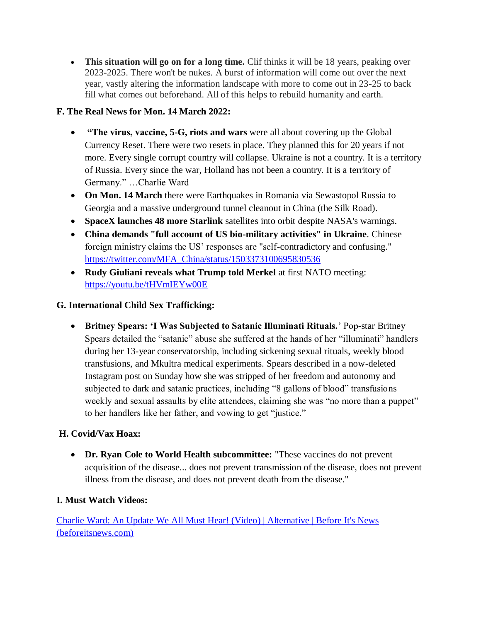**This situation will go on for a long time.** Clif thinks it will be 18 years, peaking over 2023-2025. There won't be nukes. A burst of information will come out over the next year, vastly altering the information landscape with more to come out in 23-25 to back fill what comes out beforehand. All of this helps to rebuild humanity and earth.

# **F. The Real News for Mon. 14 March 2022:**

- **"The virus, vaccine, 5-G, riots and wars** were all about covering up the Global Currency Reset. There were two resets in place. They planned this for 20 years if not more. Every single corrupt country will collapse. Ukraine is not a country. It is a territory of Russia. Every since the war, Holland has not been a country. It is a territory of Germany." ...Charlie Ward
- **On Mon. 14 March** there were Earthquakes in Romania via Sewastopol Russia to Georgia and a massive underground tunnel cleanout in China (the Silk Road).
- **SpaceX launches 48 more Starlink** satellites into orbit despite NASA's warnings.
- **China demands "full account of US bio-military activities" in Ukraine**. Chinese foreign ministry claims the US' responses are "self-contradictory and confusing." [https://twitter.com/MFA\\_China/status/1503373100695830536](https://twitter.com/MFA_China/status/1503373100695830536)
- **Rudy Giuliani reveals what Trump told Merkel** at first NATO meeting: <https://youtu.be/tHVmIEYw00E>

## **G. International Child Sex Trafficking:**

 **Britney Spears: "I Was Subjected to Satanic Illuminati Rituals.**' Pop-star Britney Spears detailed the "satanic" abuse she suffered at the hands of her "illuminati" handlers during her 13-year conservatorship, including sickening sexual rituals, weekly blood transfusions, and Mkultra medical experiments. Spears described in a now-deleted Instagram post on Sunday how she was stripped of her freedom and autonomy and subjected to dark and satanic practices, including "8 gallons of blood" transfusions weekly and sexual assaults by elite attendees, claiming she was "no more than a puppet" to her handlers like her father, and vowing to get "justice."

## **H. Covid/Vax Hoax:**

 **Dr. Ryan Cole to World Health subcommittee:** "These vaccines do not prevent acquisition of the disease... does not prevent transmission of the disease, does not prevent illness from the disease, and does not prevent death from the disease."

## **I. Must Watch Videos:**

[Charlie Ward: An Update We All Must Hear! \(Video\) | Alternative | Before It's News](https://beforeitsnews.com/alternative/2022/03/charlie-ward-an-update-we-all-must-hear-video-3769168.html)  [\(beforeitsnews.com\)](https://beforeitsnews.com/alternative/2022/03/charlie-ward-an-update-we-all-must-hear-video-3769168.html)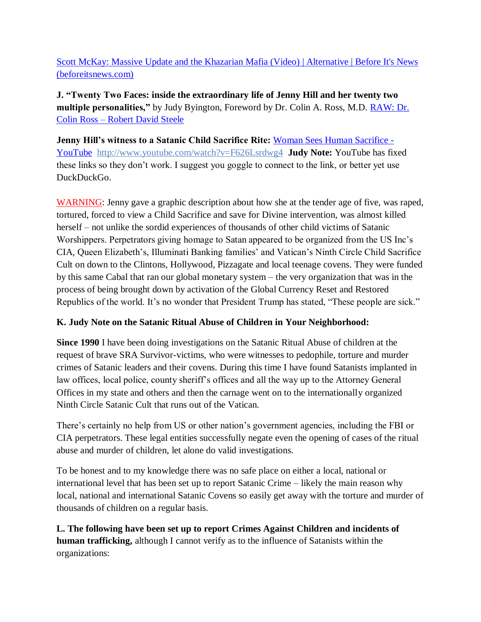[Scott McKay: Massive Update and the Khazarian Mafia \(Video\) | Alternative | Before It's News](https://beforeitsnews.com/alternative/2022/03/scott-mckay-massive-update-and-the-khazarian-mafia-video-3769167.html)  [\(beforeitsnews.com\)](https://beforeitsnews.com/alternative/2022/03/scott-mckay-massive-update-and-the-khazarian-mafia-video-3769167.html)

**J. "Twenty Two Faces: inside the extraordinary life of Jenny Hill and her twenty two multiple personalities,"** by Judy Byington, Foreword by Dr. Colin A. Ross, M.D. [RAW: Dr.](https://robertdavidsteele.com/dr-colin-ross/)  Colin Ross – [Robert David Steele](https://robertdavidsteele.com/dr-colin-ross/)

**Jenny Hill"s witness to a Satanic Child Sacrifice Rite:** [Woman Sees Human Sacrifice -](https://www.youtube.com/watch?v=F626Lsrdwg4) [YouTube http://www.youtube.com/watch?v=F626Lsrdwg4](https://www.youtube.com/watch?v=F626Lsrdwg4) **Judy Note:** YouTube has fixed these links so they don't work. I suggest you goggle to connect to the link, or better yet use DuckDuckGo.

WARNING: Jenny gave a graphic description about how she at the tender age of five, was raped, tortured, forced to view a Child Sacrifice and save for Divine intervention, was almost killed herself – not unlike the sordid experiences of thousands of other child victims of Satanic Worshippers. Perpetrators giving homage to Satan appeared to be organized from the US Inc's CIA, Queen Elizabeth's, Illuminati Banking families' and Vatican's Ninth Circle Child Sacrifice Cult on down to the Clintons, Hollywood, Pizzagate and local teenage covens. They were funded by this same Cabal that ran our global monetary system – the very organization that was in the process of being brought down by activation of the Global Currency Reset and Restored Republics of the world. It's no wonder that President Trump has stated, "These people are sick."

## **K. Judy Note on the Satanic Ritual Abuse of Children in Your Neighborhood:**

**Since 1990** I have been doing investigations on the Satanic Ritual Abuse of children at the request of brave SRA Survivor-victims, who were witnesses to pedophile, torture and murder crimes of Satanic leaders and their covens. During this time I have found Satanists implanted in law offices, local police, county sheriff's offices and all the way up to the Attorney General Offices in my state and others and then the carnage went on to the internationally organized Ninth Circle Satanic Cult that runs out of the Vatican.

There's certainly no help from US or other nation's government agencies, including the FBI or CIA perpetrators. These legal entities successfully negate even the opening of cases of the ritual abuse and murder of children, let alone do valid investigations.

To be honest and to my knowledge there was no safe place on either a local, national or international level that has been set up to report Satanic Crime – likely the main reason why local, national and international Satanic Covens so easily get away with the torture and murder of thousands of children on a regular basis.

**L. The following have been set up to report Crimes Against Children and incidents of human trafficking,** although I cannot verify as to the influence of Satanists within the organizations: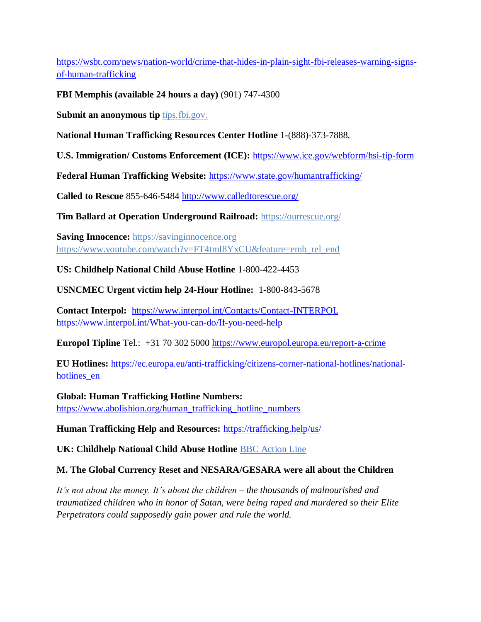[https://wsbt.com/news/nation-world/crime-that-hides-in-plain-sight-fbi-releases-warning-signs](https://wsbt.com/news/nation-world/crime-that-hides-in-plain-sight-fbi-releases-warning-signs-of-human-trafficking?video=e56ba52a1b9d45ad8c8a033fd83fe480&jwsource=cl)[of-human-trafficking](https://wsbt.com/news/nation-world/crime-that-hides-in-plain-sight-fbi-releases-warning-signs-of-human-trafficking?video=e56ba52a1b9d45ad8c8a033fd83fe480&jwsource=cl)

**FBI Memphis (available 24 hours a day)** (901) 747-4300

**Submit an anonymous tip tips.fbi.gov.** 

**National Human Trafficking Resources Center Hotline** 1-(888)-373-7888.

**U.S. Immigration/ Customs Enforcement (ICE):** <https://www.ice.gov/webform/hsi-tip-form>

**Federal Human Trafficking Website:** <https://www.state.gov/humantrafficking/>

**Called to Rescue** 855-646-5484<http://www.calledtorescue.org/>

**Tim Ballard at Operation Underground Railroad:** <https://ourrescue.org/>

**Saving Innocence:** [https://savinginnocence.org](https://savinginnocence.org/) [https://www.youtube.com/watch?v=FT4tmI8YxCU&feature=emb\\_rel\\_end](https://www.youtube.com/watch?v=FT4tmI8YxCU&feature=emb_rel_end)

**US: Childhelp National Child Abuse Hotline** 1-800-422-4453

**USNCMEC Urgent victim help 24-Hour Hotline:** 1-800-843-5678

**Contact Interpol:** <https://www.interpol.int/Contacts/Contact-INTERPOL> <https://www.interpol.int/What-you-can-do/If-you-need-help>

**Europol Tipline** Tel.: +31 70 302 5000<https://www.europol.europa.eu/report-a-crime>

**EU Hotlines:** [https://ec.europa.eu/anti-trafficking/citizens-corner-national-hotlines/national](https://ec.europa.eu/anti-trafficking/citizens-corner-national-hotlines/national-hotlines_en)[hotlines\\_en](https://ec.europa.eu/anti-trafficking/citizens-corner-national-hotlines/national-hotlines_en)

**Global: Human Trafficking Hotline Numbers:** [https://www.abolishion.org/human\\_trafficking\\_hotline\\_numbers](https://www.abolishion.org/human_trafficking_hotline_numbers)\_

**Human Trafficking Help and Resources:** <https://trafficking.help/us/>

**UK: Childhelp National Child Abuse Hotline** [BBC Action Line](https://www.bbc.co.uk/actionline)

## **M. The Global Currency Reset and NESARA/GESARA were all about the Children**

*It's not about the money. It's about the children – the thousands of malnourished and traumatized children who in honor of Satan, were being raped and murdered so their Elite Perpetrators could supposedly gain power and rule the world.*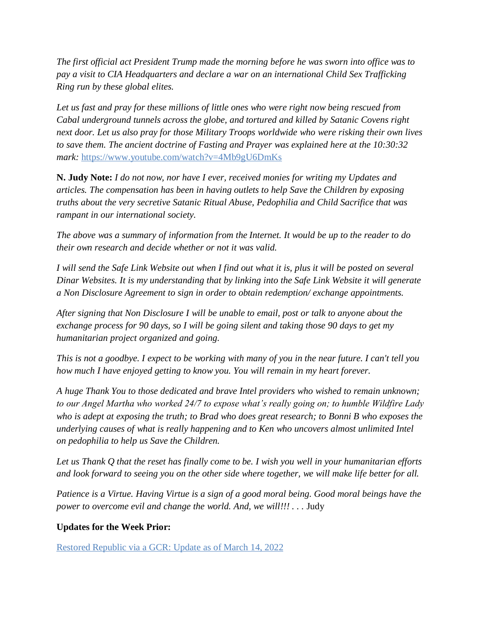*The first official act President Trump made the morning before he was sworn into office was to pay a visit to CIA Headquarters and declare a war on an international Child Sex Trafficking Ring run by these global elites.* 

*Let us fast and pray for these millions of little ones who were right now being rescued from Cabal underground tunnels across the globe, and tortured and killed by Satanic Covens right next door. Let us also pray for those Military Troops worldwide who were risking their own lives to save them. The ancient doctrine of Fasting and Prayer was explained here at the 10:30:32 mark:* <https://www.youtube.com/watch?v=4Mb9gU6DmKs>

**N. Judy Note:** *I do not now, nor have I ever, received monies for writing my Updates and articles. The compensation has been in having outlets to help Save the Children by exposing truths about the very secretive Satanic Ritual Abuse, Pedophilia and Child Sacrifice that was rampant in our international society.*

*The above was a summary of information from the Internet. It would be up to the reader to do their own research and decide whether or not it was valid.*

*I will send the Safe Link Website out when I find out what it is, plus it will be posted on several Dinar Websites. It is my understanding that by linking into the Safe Link Website it will generate a Non Disclosure Agreement to sign in order to obtain redemption/ exchange appointments.*

*After signing that Non Disclosure I will be unable to email, post or talk to anyone about the exchange process for 90 days, so I will be going silent and taking those 90 days to get my humanitarian project organized and going.*

*This is not a goodbye. I expect to be working with many of you in the near future. I can't tell you how much I have enjoyed getting to know you. You will remain in my heart forever.*

*A huge Thank You to those dedicated and brave Intel providers who wished to remain unknown; to our Angel Martha who worked 24/7 to expose what's really going on; to humble Wildfire Lady who is adept at exposing the truth; to Brad who does great research; to Bonni B who exposes the underlying causes of what is really happening and to Ken who uncovers almost unlimited Intel on pedophilia to help us Save the Children.*

*Let us Thank Q that the reset has finally come to be. I wish you well in your humanitarian efforts and look forward to seeing you on the other side where together, we will make life better for all.*

*Patience is a Virtue. Having Virtue is a sign of a good moral being. Good moral beings have the power to overcome evil and change the world. And, we will!!!* . . . Judy

#### **Updates for the Week Prior:**

[Restored Republic via a GCR: Update](https://operationdisclosureofficial.com/2022/03/14/restored-republic-via-a-gcr-as-of-march-14-2022/) as of March 14, 2022